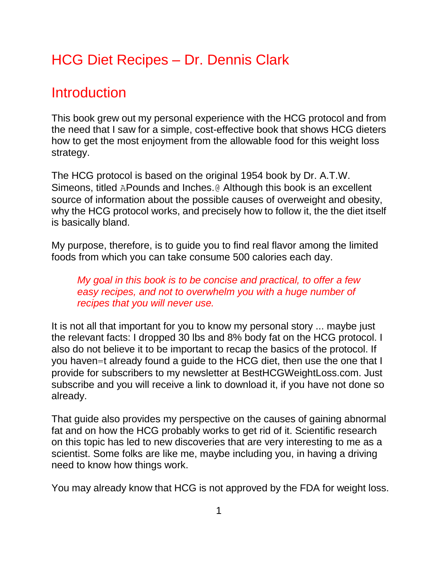## HCG Diet Recipes – Dr. Dennis Clark

### **Introduction**

This book grew out my personal experience with the HCG protocol and from the need that I saw for a simple, cost-effective book that shows HCG dieters how to get the most enjoyment from the allowable food for this weight loss strategy.

The HCG protocol is based on the original 1954 book by Dr. A.T.W. Simeons, titled APounds and Inches.@ Although this book is an excellent source of information about the possible causes of overweight and obesity, why the HCG protocol works, and precisely how to follow it, the the diet itself is basically bland.

My purpose, therefore, is to guide you to find real flavor among the limited foods from which you can take consume 500 calories each day.

*My goal in this book is to be concise and practical, to offer a few easy recipes, and not to overwhelm you with a huge number of recipes that you will never use.*

It is not all that important for you to know my personal story ... maybe just the relevant facts: I dropped 30 lbs and 8% body fat on the HCG protocol. I also do not believe it to be important to recap the basics of the protocol. If you haven=t already found a guide to the HCG diet, then use the one that I provide for subscribers to my newsletter at BestHCGWeightLoss.com. Just subscribe and you will receive a link to download it, if you have not done so already.

That guide also provides my perspective on the causes of gaining abnormal fat and on how the HCG probably works to get rid of it. Scientific research on this topic has led to new discoveries that are very interesting to me as a scientist. Some folks are like me, maybe including you, in having a driving need to know how things work.

You may already know that HCG is not approved by the FDA for weight loss.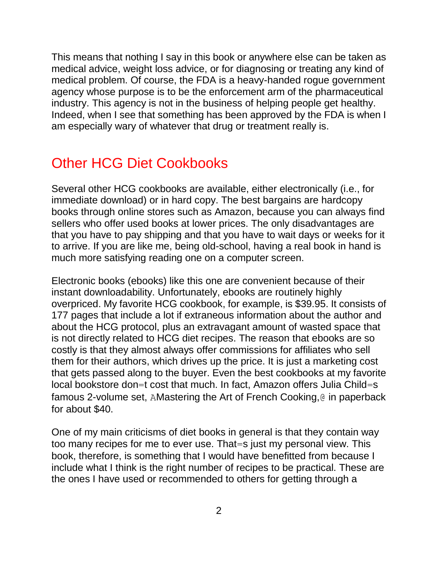This means that nothing I say in this book or anywhere else can be taken as medical advice, weight loss advice, or for diagnosing or treating any kind of medical problem. Of course, the FDA is a heavy-handed rogue government agency whose purpose is to be the enforcement arm of the pharmaceutical industry. This agency is not in the business of helping people get healthy. Indeed, when I see that something has been approved by the FDA is when I am especially wary of whatever that drug or treatment really is.

### Other HCG Diet Cookbooks

Several other HCG cookbooks are available, either electronically (i.e., for immediate download) or in hard copy. The best bargains are hardcopy books through online stores such as Amazon, because you can always find sellers who offer used books at lower prices. The only disadvantages are that you have to pay shipping and that you have to wait days or weeks for it to arrive. If you are like me, being old-school, having a real book in hand is much more satisfying reading one on a computer screen.

Electronic books (ebooks) like this one are convenient because of their instant downloadability. Unfortunately, ebooks are routinely highly overpriced. My favorite HCG cookbook, for example, is \$39.95. It consists of 177 pages that include a lot if extraneous information about the author and about the HCG protocol, plus an extravagant amount of wasted space that is not directly related to HCG diet recipes. The reason that ebooks are so costly is that they almost always offer commissions for affiliates who sell them for their authors, which drives up the price. It is just a marketing cost that gets passed along to the buyer. Even the best cookbooks at my favorite local bookstore don=t cost that much. In fact, Amazon offers Julia Child=s famous 2-volume set, AMastering the Art of French Cooking,@ in paperback for about \$40.

One of my main criticisms of diet books in general is that they contain way too many recipes for me to ever use. That=s just my personal view. This book, therefore, is something that I would have benefitted from because I include what I think is the right number of recipes to be practical. These are the ones I have used or recommended to others for getting through a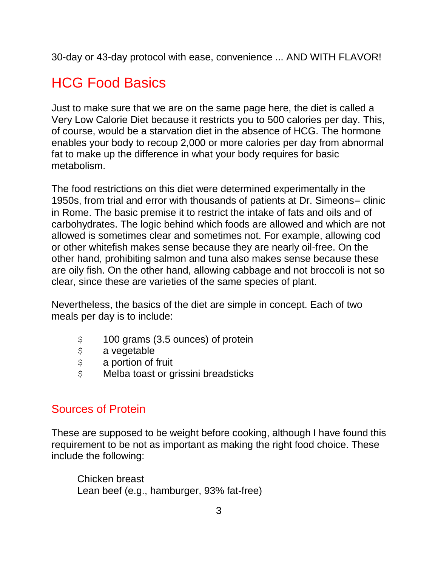30-day or 43-day protocol with ease, convenience ... AND WITH FLAVOR!

# HCG Food Basics

Just to make sure that we are on the same page here, the diet is called a Very Low Calorie Diet because it restricts you to 500 calories per day. This, of course, would be a starvation diet in the absence of HCG. The hormone enables your body to recoup 2,000 or more calories per day from abnormal fat to make up the difference in what your body requires for basic metabolism.

The food restrictions on this diet were determined experimentally in the 1950s, from trial and error with thousands of patients at Dr. Simeons= clinic in Rome. The basic premise it to restrict the intake of fats and oils and of carbohydrates. The logic behind which foods are allowed and which are not allowed is sometimes clear and sometimes not. For example, allowing cod or other whitefish makes sense because they are nearly oil-free. On the other hand, prohibiting salmon and tuna also makes sense because these are oily fish. On the other hand, allowing cabbage and not broccoli is not so clear, since these are varieties of the same species of plant.

Nevertheless, the basics of the diet are simple in concept. Each of two meals per day is to include:

- \$ 100 grams (3.5 ounces) of protein
- \$ a vegetable<br>\$ a portion of
- a portion of fruit
- \$ Melba toast or grissini breadsticks

### Sources of Protein

These are supposed to be weight before cooking, although I have found this requirement to be not as important as making the right food choice. These include the following:

Chicken breast Lean beef (e.g., hamburger, 93% fat-free)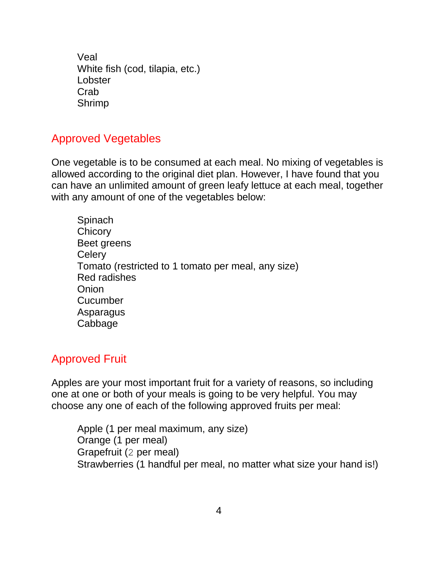Veal White fish (cod, tilapia, etc.) **Lobster** Crab Shrimp

#### Approved Vegetables

One vegetable is to be consumed at each meal. No mixing of vegetables is allowed according to the original diet plan. However, I have found that you can have an unlimited amount of green leafy lettuce at each meal, together with any amount of one of the vegetables below:

**Spinach Chicory** Beet greens **Celery** Tomato (restricted to 1 tomato per meal, any size) Red radishes **Onion Cucumber** Asparagus Cabbage

#### Approved Fruit

Apples are your most important fruit for a variety of reasons, so including one at one or both of your meals is going to be very helpful. You may choose any one of each of the following approved fruits per meal:

Apple (1 per meal maximum, any size) Orange (1 per meal) Grapefruit (2 per meal) Strawberries (1 handful per meal, no matter what size your hand is!)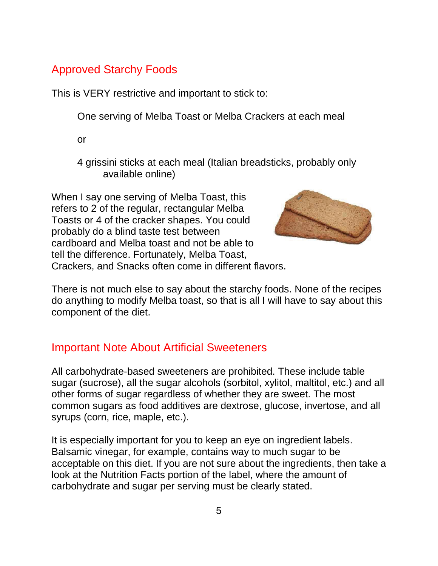#### Approved Starchy Foods

This is VERY restrictive and important to stick to:

One serving of Melba Toast or Melba Crackers at each meal

or

4 grissini sticks at each meal (Italian breadsticks, probably only available online)

When I say one serving of Melba Toast, this refers to 2 of the regular, rectangular Melba Toasts or 4 of the cracker shapes. You could probably do a blind taste test between cardboard and Melba toast and not be able to tell the difference. Fortunately, Melba Toast, Crackers, and Snacks often come in different flavors.



There is not much else to say about the starchy foods. None of the recipes do anything to modify Melba toast, so that is all I will have to say about this component of the diet.

### Important Note About Artificial Sweeteners

All carbohydrate-based sweeteners are prohibited. These include table sugar (sucrose), all the sugar alcohols (sorbitol, xylitol, maltitol, etc.) and all other forms of sugar regardless of whether they are sweet. The most common sugars as food additives are dextrose, glucose, invertose, and all syrups (corn, rice, maple, etc.).

It is especially important for you to keep an eye on ingredient labels. Balsamic vinegar, for example, contains way to much sugar to be acceptable on this diet. If you are not sure about the ingredients, then take a look at the Nutrition Facts portion of the label, where the amount of carbohydrate and sugar per serving must be clearly stated.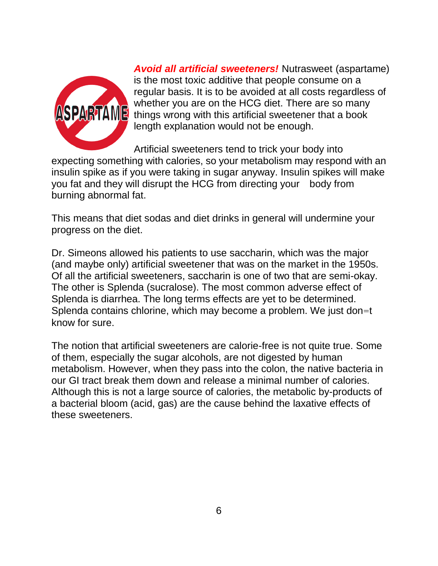

*Avoid all artificial sweeteners!* Nutrasweet (aspartame) is the most toxic additive that people consume on a regular basis. It is to be avoided at all costs regardless of whether you are on the HCG diet. There are so many things wrong with this artificial sweetener that a book length explanation would not be enough.

Artificial sweeteners tend to trick your body into expecting something with calories, so your metabolism may respond with an insulin spike as if you were taking in sugar anyway. Insulin spikes will make you fat and they will disrupt the HCG from directing your body from burning abnormal fat.

This means that diet sodas and diet drinks in general will undermine your progress on the diet.

Dr. Simeons allowed his patients to use saccharin, which was the major (and maybe only) artificial sweetener that was on the market in the 1950s. Of all the artificial sweeteners, saccharin is one of two that are semi-okay. The other is Splenda (sucralose). The most common adverse effect of Splenda is diarrhea. The long terms effects are yet to be determined. Splenda contains chlorine, which may become a problem. We just don=t know for sure.

The notion that artificial sweeteners are calorie-free is not quite true. Some of them, especially the sugar alcohols, are not digested by human metabolism. However, when they pass into the colon, the native bacteria in our GI tract break them down and release a minimal number of calories. Although this is not a large source of calories, the metabolic by-products of a bacterial bloom (acid, gas) are the cause behind the laxative effects of these sweeteners.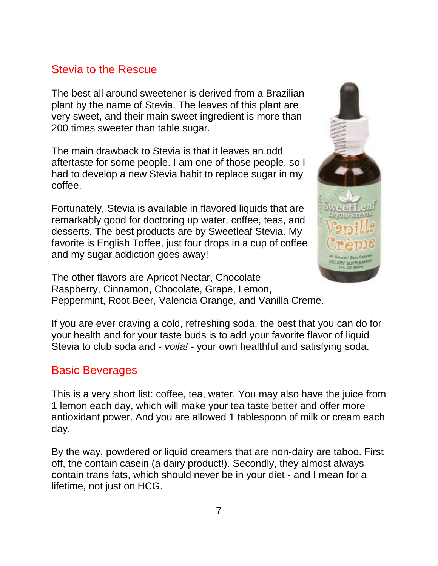#### Stevia to the Rescue

The best all around sweetener is derived from a Brazilian plant by the name of Stevia. The leaves of this plant are very sweet, and their main sweet ingredient is more than 200 times sweeter than table sugar.

The main drawback to Stevia is that it leaves an odd aftertaste for some people. I am one of those people, so I had to develop a new Stevia habit to replace sugar in my coffee.

Fortunately, Stevia is available in flavored liquids that are remarkably good for doctoring up water, coffee, teas, and desserts. The best products are by Sweetleaf Stevia. My favorite is English Toffee, just four drops in a cup of coffee and my sugar addiction goes away!



The other flavors are Apricot Nectar, Chocolate Raspberry, Cinnamon, Chocolate, Grape, Lemon, Peppermint, Root Beer, Valencia Orange, and Vanilla Creme.

If you are ever craving a cold, refreshing soda, the best that you can do for your health and for your taste buds is to add your favorite flavor of liquid Stevia to club soda and - *voila!* - your own healthful and satisfying soda.

#### Basic Beverages

This is a very short list: coffee, tea, water. You may also have the juice from 1 lemon each day, which will make your tea taste better and offer more antioxidant power. And you are allowed 1 tablespoon of milk or cream each day.

By the way, powdered or liquid creamers that are non-dairy are taboo. First off, the contain casein (a dairy product!). Secondly, they almost always contain trans fats, which should never be in your diet - and I mean for a lifetime, not just on HCG.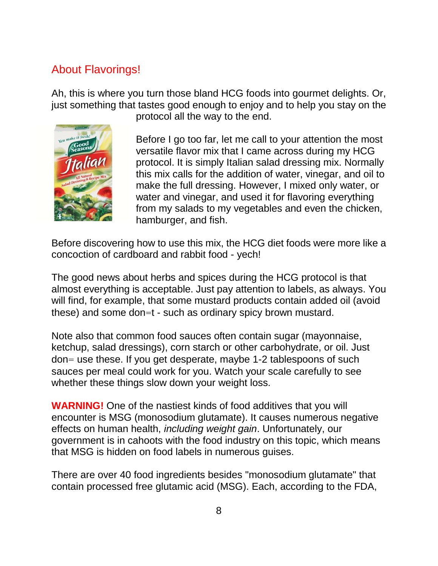### About Flavorings!

Ah, this is where you turn those bland HCG foods into gourmet delights. Or, just something that tastes good enough to enjoy and to help you stay on the



protocol all the way to the end.

Before I go too far, let me call to your attention the most versatile flavor mix that I came across during my HCG protocol. It is simply Italian salad dressing mix. Normally this mix calls for the addition of water, vinegar, and oil to make the full dressing. However, I mixed only water, or water and vinegar, and used it for flavoring everything from my salads to my vegetables and even the chicken, hamburger, and fish.

Before discovering how to use this mix, the HCG diet foods were more like a concoction of cardboard and rabbit food - yech!

The good news about herbs and spices during the HCG protocol is that almost everything is acceptable. Just pay attention to labels, as always. You will find, for example, that some mustard products contain added oil (avoid these) and some don=t - such as ordinary spicy brown mustard.

Note also that common food sauces often contain sugar (mayonnaise, ketchup, salad dressings), corn starch or other carbohydrate, or oil. Just don= use these. If you get desperate, maybe 1-2 tablespoons of such sauces per meal could work for you. Watch your scale carefully to see whether these things slow down your weight loss.

**WARNING!** One of the nastiest kinds of food additives that you will encounter is MSG (monosodium glutamate). It causes numerous negative effects on human health, *including weight gain*. Unfortunately, our government is in cahoots with the food industry on this topic, which means that MSG is hidden on food labels in numerous guises.

There are over 40 food ingredients besides "monosodium glutamate" that contain processed free glutamic acid (MSG). Each, according to the FDA,